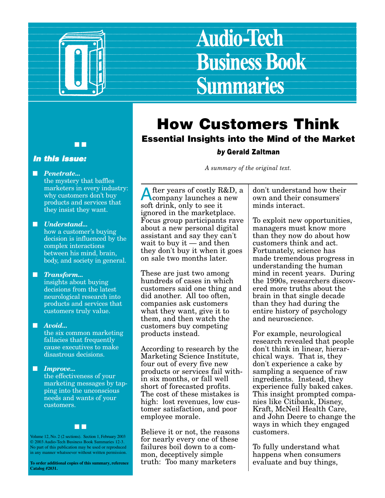

# **Audio-Tech Business Book Summaries**

#### ■ ■

#### **In this issue:**

■ *Penetrate...*

the mystery that baffles marketers in every industry: why customers don't buy products and services that they insist they want.

#### ■ *Understand...*

how a customer's buying decision is influenced by the complex interactions between his mind, brain, body, and society in general.

#### ■ *Transform...*

insights about buying decisions from the latest neurological research into products and services that customers truly value.

#### ■ *Avoid...*

the six common marketing fallacies that frequently cause executives to make disastrous decisions

#### ■ *Improve...*

the effectiveness of your marketing messages by tapping into the unconscious needs and wants of your customers.



Volume 12, No. 2 (2 sections). Section 1, February 2003 © 2003 Audio-Tech Business Book Summaries 12-3. No part of this publication may be used or reproduced in any manner whatsoever without written permission.

**To order additional copies of this summary, reference Catalog #2031.**

### **How Customers Think Essential Insights into the Mind of the Market**

#### **by Gerald Zaltman**

*A summary of the original text.*

fter years of costly R&D, a company launches a new soft drink, only to see it ignored in the marketplace. Focus group participants rave about a new personal digital assistant and say they can't wait to buy it  $-$  and then they don't buy it when it goes on sale two months later.

These are just two among hundreds of cases in which customers said one thing and did another. All too often, companies ask customers what they want, give it to them, and then watch the customers buy competing products instead.

According to research by the Marketing Science Institute, four out of every five new products or services fail within six months, or fall well short of forecasted profits. The cost of these mistakes is high: lost revenues, low customer satisfaction, and poor employee morale.

Believe it or not, the reasons for nearly every one of these failures boil down to a common, deceptively simple truth: Too many marketers

don't understand how their own and their consumers' minds interact.

To exploit new opportunities, managers must know more than they now do about how customers think and act. Fortunately, science has made tremendous progress in understanding the human mind in recent years. During the 1990s, researchers discovered more truths about the brain in that single decade than they had during the entire history of psychology and neuroscience.

For example, neurological research revealed that people don't think in linear, hierarchical ways. That is, they don't experience a cake by sampling a sequence of raw ingredients. Instead, they experience fully baked cakes. This insight prompted companies like Citibank, Disney, Kraft, McNeil Health Care, and John Deere to change the ways in which they engaged customers.

To fully understand what happens when consumers evaluate and buy things,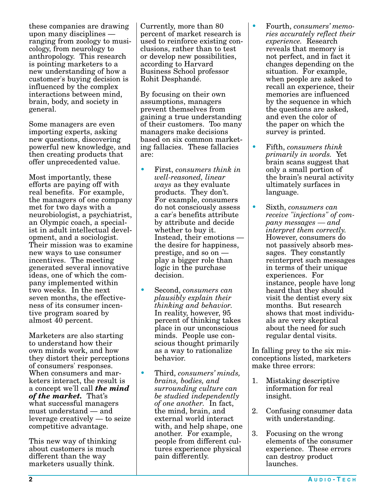these companies are drawing upon many disciplines ranging from zoology to musicology, from neurology to anthropology. This research is pointing marketers to a new understanding of how a customer's buying decision is influenced by the complex interactions between mind, brain, body, and society in general.

Some managers are even importing experts, asking new questions, discovering powerful new knowledge, and then creating products that offer unprecedented value.

Most importantly, these efforts are paying off with real benefits. For example, the managers of one company met for two days with a neurobiologist, a psychiatrist, an Olympic coach, a specialist in adult intellectual development, and a sociologist. Their mission was to examine new ways to use consumer incentives. The meeting generated several innovative ideas, one of which the company implemented within two weeks. In the next seven months, the effectiveness of its consumer incentive program soared by almost 40 percent.

Marketers are also starting to understand how their own minds work, and how they distort their perceptions of consumers' responses. When consumers and marketers interact, the result is a concept we'll call *the mind of the market.* That's what successful managers must understand — and leverage creatively — to seize competitive advantage.

This new way of thinking about customers is much different than the way marketers usually think.

Currently, more than 80 percent of market research is used to reinforce existing conclusions, rather than to test or develop new possibilities, according to Harvard Business School professor Rohit Desphandé.

By focusing on their own assumptions, managers prevent themselves from gaining a true understanding of their customers. Too many managers make decisions based on six common marketing fallacies. These fallacies are:

- First, *consumers think in well-reasoned, linear ways* as they evaluate products. They don't. For example, consumers do not consciously assess a car's benefits attribute by attribute and decide whether to buy it. Instead, their emotions the desire for happiness, prestige, and so on play a bigger role than logic in the purchase decision.
- Second, *consumers can plausibly explain their thinking and behavior.* In reality, however, 95 percent of thinking takes place in our unconscious minds. People use conscious thought primarily as a way to rationalize behavior.
- Third, *consumers' minds, brains, bodies, and surrounding culture can be studied independently of one another.* In fact, the mind, brain, and external world interact with, and help shape, one another. For example, people from different cultures experience physical pain differently.
- Fourth, *consumers' memories accurately reflect their experience.* Research reveals that memory is not perfect, and in fact it changes depending on the situation. For example, when people are asked to recall an experience, their memories are influenced by the sequence in which the questions are asked, and even the color of the paper on which the survey is printed.
- Fifth, *consumers think primarily in words.* Yet brain scans suggest that only a small portion of the brain's neural activity ultimately surfaces in language.
- Sixth, *consumers can receive "injections" of company messages — and interpret them correctly.* However, consumers do not passively absorb messages. They constantly reinterpret such messages in terms of their unique experiences. For instance, people have long heard that they should visit the dentist every six months. But research shows that most individuals are very skeptical about the need for such regular dental visits.

In falling prey to the six misconceptions listed, marketers make three errors:

- 1. Mistaking descriptive information for real insight.
- 2. Confusing consumer data with understanding.
- 3. Focusing on the wrong elements of the consumer experience. These errors can destroy product launches.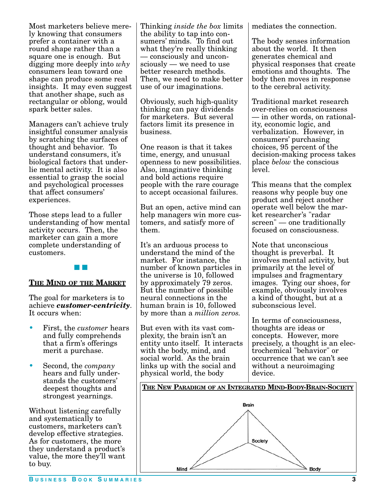Most marketers believe merely knowing that consumers prefer a container with a round shape rather than a square one is enough. But digging more deeply into *why* consumers lean toward one shape can produce some real insights. It may even suggest that another shape, such as rectangular or oblong, would spark better sales.

Managers can't achieve truly insightful consumer analysis by scratching the surfaces of thought and behavior. To understand consumers, it's biological factors that underlie mental activity. It is also essential to grasp the social and psychological processes that affect consumers' experiences.

Those steps lead to a fuller understanding of how mental activity occurs. Then, the marketer can gain a more complete understanding of customers.



#### **THE MIND OF THE MARKET**

The goal for marketers is to achieve *customer-centricity*. It occurs when:

- First, the *customer* hears and fully comprehends that a firm's offerings merit a purchase.
- Second, the *company* hears and fully understands the customers' deepest thoughts and strongest yearnings.

Without listening carefully and systematically to customers, marketers can't develop effective strategies. As for customers, the more they understand a product's value, the more they'll want to buy.

Thinking *inside the box* limits the ability to tap into consumers' minds. To find out what they're really thinking — consciously and unconsciously — we need to use better research methods. Then, we need to make better use of our imaginations.

Obviously, such high-quality thinking can pay dividends for marketers. But several factors limit its presence in business.

One reason is that it takes time, energy, and unusual openness to new possibilities. Also, imaginative thinking and bold actions require people with the rare courage to accept occasional failures.

But an open, active mind can help managers win more customers, and satisfy more of them.

It's an arduous process to understand the mind of the market. For instance, the number of known particles in the universe is 10, followed by approximately 79 zeros. But the number of possible neural connections in the human brain is 10, followed by more than a *million zeros.*

But even with its vast complexity, the brain isn't an entity unto itself. It interacts with the body, mind, and social world. As the brain links up with the social and physical world, the body

mediates the connection.

The body senses information about the world. It then generates chemical and physical responses that create emotions and thoughts. The body then moves in response to the cerebral activity.

Traditional market research over-relies on consciousness — in other words, on rationality, economic logic, and verbalization. However, in consumers' purchasing choices, 95 percent of the decision-making process takes place *below* the conscious level.

This means that the complex reasons why people buy one product and reject another operate well below the market researcher's "radar screen" — one traditionally focused on consciousness.

Note that unconscious thought is preverbal. It involves mental activity, but primarily at the level of impulses and fragmentary images. Tying our shoes, for example, obviously involves a kind of thought, but at a subconscious level.

In terms of consciousness, thoughts are ideas or concepts. However, more precisely, a thought is an electrochemical "behavior" or occurrence that we can't see without a neuroimaging device.

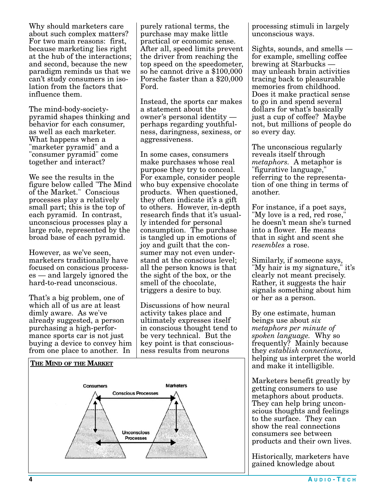Why should marketers care about such complex matters? For two main reasons: first, because marketing lies right at the hub of the interactions; and second, because the new paradigm reminds us that we can't study consumers in isolation from the factors that influence them.

The mind-body-societypyramid shapes thinking and behavior for each consumer, as well as each marketer. What happens when a "marketer pyramid" and a "consumer pyramid" come together and interact?

We see the results in the figure below called "The Mind of the Market." Conscious processes play a relatively small part; this is the top of each pyramid. In contrast, unconscious processes play a large role, represented by the broad base of each pyramid.

However, as we've seen, marketers traditionally have focused on conscious processes — and largely ignored the hard-to-read unconscious.

That's a big problem, one of which all of us are at least dimly aware. As we've already suggested, a person purchasing a high-performance sports car is not just buying a device to convey him from one place to another. In

purely rational terms, the purchase may make little practical or economic sense. After all, speed limits prevent the driver from reaching the top speed on the speedometer, so he cannot drive a \$100,000 Porsche faster than a \$20,000 Ford.

Instead, the sports car makes a statement about the owner's personal identity perhaps regarding youthfulness, daringness, sexiness, or aggressiveness.

In some cases, consumers make purchases whose real purpose they try to conceal. For example, consider people who buy expensive chocolate products. When questioned, they often indicate it's a gift to others. However, in-depth research finds that it's usually intended for personal consumption. The purchase is tangled up in emotions of joy and guilt that the consumer may not even understand at the conscious level; all the person knows is that the sight of the box, or the smell of the chocolate, triggers a desire to buy.

Discussions of how neural activity takes place and ultimately expresses itself in conscious thought tend to be very technical. But the key point is that consciousness results from neurons



processing stimuli in largely unconscious ways.

Sights, sounds, and smells for example, smelling coffee brewing at Starbucks may unleash brain activities tracing back to pleasurable memories from childhood. Does it make practical sense to go in and spend several dollars for what's basically just a cup of coffee? Maybe not, but millions of people do so every day.

The unconscious regularly reveals itself through *metaphors.* A metaphor is "figurative language," referring to the representation of one thing in terms of another.

For instance, if a poet says, "My love is a red, red rose," he doesn't mean she's turned into a flower. He means that in sight and scent she *resembles* a rose.

Similarly, if someone says, "My hair is my signature," it's clearly not meant precisely. Rather, it suggests the hair signals something about him or her as a person.

By one estimate, human beings use about *six metaphors per minute of spoken language.* Why so frequently? Mainly because they *establish connections,* helping us interpret the world and make it intelligible.

Marketers benefit greatly by getting consumers to use metaphors about products. They can help bring unconscious thoughts and feelings to the surface. They can show the real connections consumers see between products and their own lives.

Historically, marketers have gained knowledge about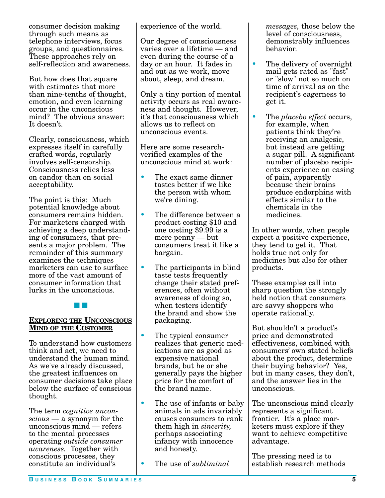consumer decision making through such means as telephone interviews, focus groups, and questionnaires. These approaches rely on self-reflection and awareness.

But how does that square with estimates that more than nine-tenths of thought, emotion, and even learning occur in the unconscious mind? The obvious answer: It doesn't.

Clearly, consciousness, which expresses itself in carefully crafted words, regularly involves self-censorship. Consciousness relies less on candor than on social acceptability.

The point is this: Much potential knowledge about consumers remains hidden. For marketers charged with achieving a deep understanding of consumers, that presents a major problem. The remainder of this summary examines the techniques marketers can use to surface more of the vast amount of consumer information that lurks in the unconscious.

■ ■

#### **EXPLORING THE UNCONSCIOUS MIND OF THE CUSTOMER**

To understand how customers think and act, we need to understand the human mind. As we've already discussed, the greatest influences on consumer decisions take place below the surface of conscious thought.

The term *cognitive unconscious* — a synonym for the unconscious mind — refers to the mental processes operating *outside consumer awareness.* Together with conscious processes, they constitute an individual's

experience of the world.

Our degree of consciousness varies over a lifetime — and even during the course of a day or an hour. It fades in and out as we work, move about, sleep, and dream.

Only a tiny portion of mental activity occurs as real awareness and thought. However, it's that consciousness which allows us to reflect on unconscious events.

Here are some researchverified examples of the unconscious mind at work:

- The exact same dinner tastes better if we like the person with whom we're dining.
- The difference between a product costing \$10 and one costing \$9.99 is a mere penny — but consumers treat it like a bargain.
- The participants in blind taste tests frequently change their stated preferences, often without awareness of doing so, when testers identify the brand and show the packaging.
- The typical consumer realizes that generic medications are as good as expensive national brands, but he or she generally pays the higher price for the comfort of the brand name.
- The use of infants or baby animals in ads invariably causes consumers to rank them high in *sincerity,* perhaps associating infancy with innocence and honesty.
- The use of *subliminal*

*messages,* those below the level of consciousness, demonstrably influences behavior.

- The delivery of overnight mail gets rated as "fast" or "slow" not so much on time of arrival as on the recipient's eagerness to get it.
- The *placebo effect* occurs, for example, when patients think they're receiving an analgesic, but instead are getting a sugar pill. A significant number of placebo recipients experience an easing of pain, apparently because their brains produce endorphins with effects similar to the chemicals in the medicines.

In other words, when people expect a positive experience, they tend to get it. That holds true not only for medicines but also for other products.

These examples call into sharp question the strongly held notion that consumers are savvy shoppers who operate rationally.

But shouldn't a product's price and demonstrated effectiveness, combined with consumers' own stated beliefs about the product, determine their buying behavior? Yes, but in many cases, they don't, and the answer lies in the unconscious.

The unconscious mind clearly represents a significant frontier. It's a place marketers must explore if they want to achieve competitive advantage.

The pressing need is to establish research methods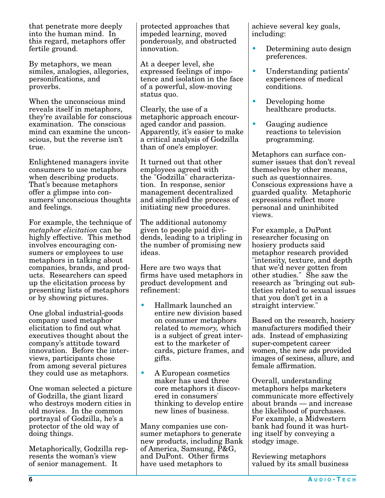that penetrate more deeply into the human mind. In this regard, metaphors offer fertile ground.

By metaphors, we mean similes, analogies, allegories, personifications, and proverbs.

When the unconscious mind reveals itself in metaphors, they're available for conscious examination. The conscious mind can examine the unconscious, but the reverse isn't true.

Enlightened managers invite consumers to use metaphors when describing products. That's because metaphors offer a glimpse into consumers' unconscious thoughts and feelings.

For example, the technique of *metaphor elicitation* can be highly effective. This method involves encouraging consumers or employees to use metaphors in talking about companies, brands, and products. Researchers can speed up the elicitation process by presenting lists of metaphors or by showing pictures.

One global industrial-goods company used metaphor elicitation to find out what executives thought about the company's attitude toward innovation. Before the interviews, participants chose from among several pictures they could use as metaphors.

One woman selected a picture of Godzilla, the giant lizard who destroys modern cities in old movies. In the common portrayal of Godzilla, he's a protector of the old way of doing things.

Metaphorically, Godzilla represents the woman's view of senior management. It

protected approaches that impeded learning, moved ponderously, and obstructed innovation.

At a deeper level, she expressed feelings of impotence and isolation in the face of a powerful, slow-moving status quo.

Clearly, the use of a metaphoric approach encouraged candor and passion. Apparently, it's easier to make a critical analysis of Godzilla than of one's employer.

It turned out that other employees agreed with the "Godzilla" characterization. In response, senior management decentralized and simplified the process of initiating new procedures.

The additional autonomy given to people paid dividends, leading to a tripling in the number of promising new ideas.

Here are two ways that firms have used metaphors in product development and refinement:

- Hallmark launched an entire new division based on consumer metaphors related to *memory,* which is a subject of great interest to the marketer of cards, picture frames, and gifts.
- A European cosmetics maker has used three core metaphors it discovered in consumers' thinking to develop entire new lines of business.

Many companies use consumer metaphors to generate new products, including Bank of America, Samsung, P&G, and DuPont. Other firms have used metaphors to

achieve several key goals, including:

- Determining auto design preferences.
- Understanding patients' experiences of medical conditions.
- Developing home healthcare products.
- Gauging audience reactions to television programming.

Metaphors can surface consumer issues that don't reveal themselves by other means, such as questionnaires. Conscious expressions have a guarded quality. Metaphoric expressions reflect more personal and uninhibited views.

For example, a DuPont researcher focusing on hosiery products said metaphor research provided "intensity, texture, and depth that we'd never gotten from other studies." She saw the research as "bringing out subtleties related to sexual issues that you don't get in a straight interview."

Based on the research, hosiery manufacturers modified their ads. Instead of emphasizing super-competent career women, the new ads provided images of sexiness, allure, and female affirmation.

Overall, understanding metaphors helps marketers communicate more effectively about brands — and increase the likelihood of purchases. For example, a Midwestern bank had found it was hurting itself by conveying a stodgy image.

Reviewing metaphors valued by its small business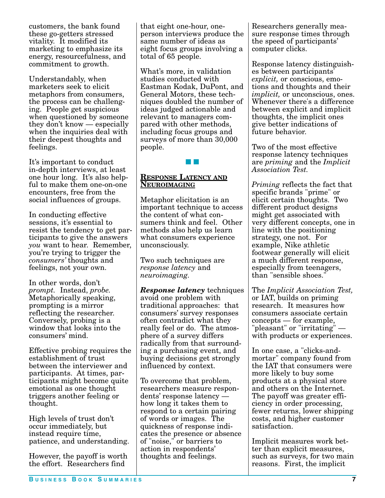customers, the bank found these go-getters stressed vitality. It modified its marketing to emphasize its energy, resourcefulness, and commitment to growth.

Understandably, when marketers seek to elicit metaphors from consumers, the process can be challenging. People get suspicious when questioned by someone they don't know — especially when the inquiries deal with their deepest thoughts and feelings.

It's important to conduct in-depth interviews, at least one hour long. It's also helpful to make them one-on-one encounters, free from the social influences of groups.

In conducting effective sessions, it's essential to resist the tendency to get participants to give the answers *you* want to hear. Remember, you're trying to trigger the *consumers'* thoughts and feelings, not your own.

In other words, don't *prompt.* Instead, *probe.* Metaphorically speaking, prompting is a mirror reflecting the researcher. Conversely, probing is a window that looks into the consumers' mind.

Effective probing requires the establishment of trust between the interviewer and participants. At times, participants might become quite emotional as one thought triggers another feeling or thought.

High levels of trust don't occur immediately, but instead require time, patience, and understanding.

However, the payoff is worth the effort. Researchers find

that eight one-hour, oneperson interviews produce the same number of ideas as eight focus groups involving a total of 65 people.

What's more, in validation studies conducted with Eastman Kodak, DuPont, and General Motors, these techniques doubled the number of ideas judged actionable and relevant to managers compared with other methods, including focus groups and surveys of more than 30,000 people.

## ■ ■

#### **RESPONSE LATENCY AND NEUROIMAGING**

Metaphor elicitation is an important technique to access the content of what consumers think and feel. Other methods also help us learn what consumers experience unconsciously.

Two such techniques are *response latency* and *neuroimaging.*

*Response latency* techniques avoid one problem with traditional approaches: that consumers' survey responses often contradict what they really feel or do. The atmosphere of a survey differs radically from that surrounding a purchasing event, and buying decisions get strongly influenced by context.

To overcome that problem, researchers measure respondents' response latency how long it takes them to respond to a certain pairing of words or images. The quickness of response indicates the presence or absence of "noise," or barriers to action in respondents' thoughts and feelings.

Researchers generally measure response times through the speed of participants' computer clicks.

Response latency distinguishes between participants' *explicit,* or conscious, emotions and thoughts and their *implicit,* or unconscious, ones. Whenever there's a difference between explicit and implicit thoughts, the implicit ones give better indications of future behavior.

Two of the most effective response latency techniques are *priming* and the *Implicit Association Test.*

*Priming* reflects the fact that specific brands "prime" or elicit certain thoughts. Two different product designs might get associated with very different concepts, one in line with the positioning strategy, one not. For example, Nike athletic footwear generally will elicit a much different response, especially from teenagers, than "sensible shoes."

The *Implicit Association Test,* or IAT, builds on priming research. It measures how consumers associate certain concepts — for example, "pleasant" or "irritating" with products or experiences.

In one case, a "clicks-andmortar" company found from the IAT that consumers were more likely to buy some products at a physical store and others on the Internet. The payoff was greater efficiency in order processing, fewer returns, lower shipping costs, and higher customer satisfaction.

Implicit measures work better than explicit measures, such as surveys, for two main reasons. First, the implicit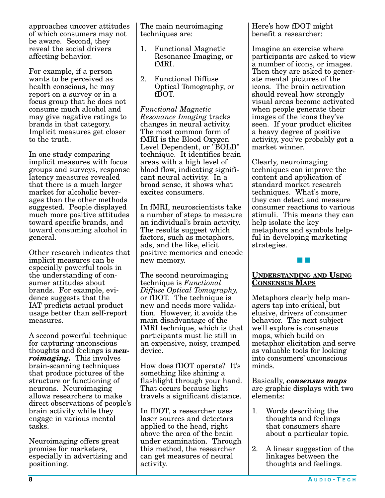approaches uncover attitudes of which consumers may not be aware. Second, they reveal the social drivers affecting behavior.

For example, if a person wants to be perceived as health conscious, he may report on a survey or in a focus group that he does not consume much alcohol and may give negative ratings to brands in that category. Implicit measures get closer to the truth.

In one study comparing implicit measures with focus groups and surveys, response latency measures revealed that there is a much larger market for alcoholic beverages than the other methods suggested. People displayed much more positive attitudes toward specific brands, and toward consuming alcohol in general.

Other research indicates that implicit measures can be especially powerful tools in the understanding of consumer attitudes about brands. For example, evidence suggests that the IAT predicts actual product usage better than self-report measures.

A second powerful technique for capturing unconscious thoughts and feelings is *neuroimaging.* This involves brain-scanning techniques that produce pictures of the structure or functioning of neurons. Neuroimaging allows researchers to make direct observations of people's brain activity while they engage in various mental tasks.

Neuroimaging offers great promise for marketers, especially in advertising and positioning.

The main neuroimaging techniques are:

- 1. Functional Magnetic Resonance Imaging, or fMRI.
- 2. Functional Diffuse Optical Tomography, or fDOT.

*Functional Magnetic Resonance Imaging* tracks changes in neural activity. The most common form of fMRI is the Blood Oxygen Level Dependent, or "BOLD" technique. It identifies brain areas with a high level of blood flow, indicating significant neural activity. In a broad sense, it shows what excites consumers.

In fMRI, neuroscientists take a number of steps to measure an individual's brain activity. The results suggest which factors, such as metaphors, ads, and the like, elicit positive memories and encode new memory.

The second neuroimaging technique is *Functional Diffuse Optical Tomography,* or fDOT. The technique is new and needs more validation. However, it avoids the main disadvantage of the fMRI technique, which is that participants must lie still in an expensive, noisy, cramped device.

How does fDOT operate? It's something like shining a flashlight through your hand. That occurs because light travels a significant distance.

In fDOT, a researcher uses laser sources and detectors applied to the head, right above the area of the brain under examination. Through this method, the researcher can get measures of neural activity.

Here's how fDOT might benefit a researcher:

Imagine an exercise where participants are asked to view a number of icons, or images. Then they are asked to generate mental pictures of the icons. The brain activation should reveal how strongly visual areas become activated when people generate their images of the icons they've seen. If your product elicites a heavy degree of positive activity, you've probably got a market winner.

Clearly, neuroimaging techniques can improve the content and application of standard market research techniques. What's more, they can detect and measure consumer reactions to various stimuli. This means they can help isolate the key metaphors and symbols helpful in developing marketing strategies.

#### **UNDERSTANDING AND USING CONSENSUS MAPS**

■ ■

Metaphors clearly help managers tap into critical, but elusive, drivers of consumer behavior. The next subject we'll explore is consensus maps, which build on metaphor elicitation and serve as valuable tools for looking into consumers' unconscious minds.

Basically, *consensus maps* are graphic displays with two elements:

- 1. Words describing the thoughts and feelings that consumers share about a particular topic.
- 2. A linear suggestion of the linkages between the thoughts and feelings.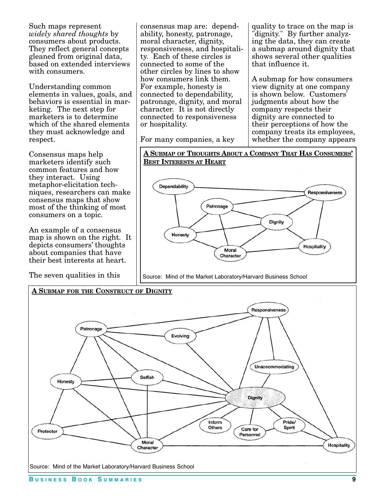Such maps represent *widely shared thoughts* by consumers about products. They reflect general concepts gleaned from original data, based on extended interviews with consumers.

Understanding common elements in values, goals, and behaviors is essential in marketing. The next step for marketers is to determine which of the shared elements they must acknowledge and respect.

Consensus maps help marketers identify such common features and how they interact. Using metaphor-elicitation techniques, researchers can make consensus maps that show most of the thinking of most consumers on a topic.

An example of a consensus map is shown on the right. It depicts consumers' thoughts about companies that have their best interests at heart.

The seven qualities in this

consensus map are: dependability, honesty, patronage, moral character, dignity, responsiveness, and hospitality. Each of these circles is connected to some of the other circles by lines to show how consumers link them. For example, honesty is connected to dependability, patronage, dignity, and moral character. It is not directly connected to responsiveness or hospitality.

For many companies, a key

quality to trace on the map is dignity." By further analyzing the data, they can create a submap around dignity that shows several other qualities that influence it.

A submap for how consumers view dignity at one company is shown below. Customers' judgments about how the company respects their dignity are connected to their perceptions of how the company treats its employees, whether the company appears



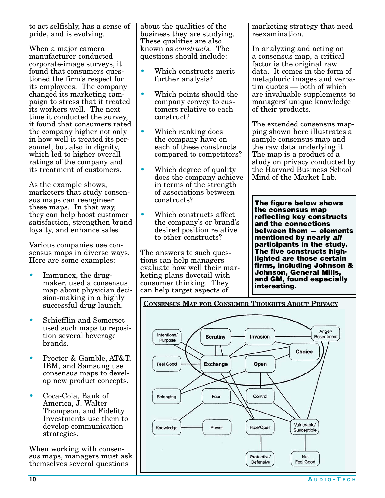to act selfishly, has a sense of pride, and is evolving.

When a major camera manufacturer conducted corporate-image surveys, it found that consumers questioned the firm's respect for its employees. The company changed its marketing campaign to stress that it treated its workers well. The next time it conducted the survey, it found that consumers rated the company higher not only in how well it treated its personnel, but also in dignity, which led to higher overall ratings of the company and its treatment of customers.

As the example shows, marketers that study consensus maps can reengineer these maps. In that way, they can help boost customer satisfaction, strengthen brand loyalty, and enhance sales.

Various companies use consensus maps in diverse ways. Here are some examples:

- Immunex, the drugmaker, used a consensus map about physician decision-making in a highly successful drug launch.
- Schiefflin and Somerset used such maps to reposition several beverage brands.
- Procter & Gamble, AT&T, IBM, and Samsung use consensus maps to develop new product concepts.
- Coca-Cola, Bank of America, J. Walter Thompson, and Fidelity Investments use them to develop communication strategies.

When working with consensus maps, managers must ask themselves several questions

about the qualities of the business they are studying. These qualities are also known as *constructs.* The questions should include:

- Which constructs merit further analysis?
- Which points should the company convey to customers relative to each construct?
- Which ranking does the company have on each of these constructs compared to competitors?
- Which degree of quality does the company achieve in terms of the strength of associations between constructs?
- Which constructs affect the company's or brand's desired position relative to other constructs?

The answers to such questions can help managers evaluate how well their marketing plans dovetail with consumer thinking. They can help target aspects of

marketing strategy that need reexamination.

In analyzing and acting on a consensus map, a critical factor is the original raw data. It comes in the form of metaphoric images and verbatim quotes — both of which are invaluable supplements to managers' unique knowledge of their products.

The extended consensus mapping shown here illustrates a sample consensus map and the raw data underlying it. The map is a product of a study on privacy conducted by the Harvard Business School Mind of the Market Lab.

**The figure below shows the consensus map reflecting key constructs and the connections between them — elements mentioned by nearly all participants in the study. The five constructs highlighted are those certain firms, including Johnson & Johnson, General Mills, and GM, found especially interesting.**



**CONSENSUS MAP FOR CONSUMER THOUGHTS ABOUT PRIVACY**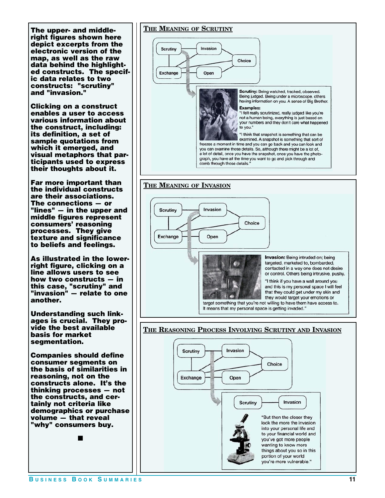**The upper- and middleright figures shown here depict excerpts from the electronic version of the map, as well as the raw data behind the highlighted constructs. The specific data relates to two constructs: "scrutiny" and "invasion."**

**Clicking on a construct enables a user to access various information about the construct, including: its definition, a set of sample quotations from which it emerged, and visual metaphors that participants used to express their thoughts about it.**

**Far more important than the individual constructs are their associations. The connections — or "lines" — in the upper and middle figures represent consumers' reasoning processes. They give texture and significance to beliefs and feelings.** 

**As illustrated in the lowerright figure, clicking on a line allows users to see how two constructs — in this case, "scrutiny" and "invasion" — relate to one another.**

**Understanding such linkages is crucial. They provide the best available basis for market segmentation.** 

**Companies should define consumer segments on the basis of similarities in reasoning, not on the constructs alone. It's the thinking processes — not the constructs, and certainly not criteria like demographics or purchase volume — that reveal "why" consumers buy.**

■

#### **THE MEANING OF SCRUTINY**

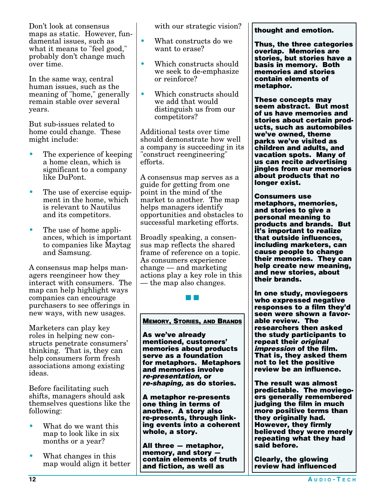Don't look at consensus maps as static. However, fundamental issues, such as what it means to "feel good," probably don't change much over time.

In the same way, central human issues, such as the meaning of "home," generally remain stable over several years.

But sub-issues related to home could change. These might include:

- The experience of keeping a home clean, which is significant to a company like DuPont.
- The use of exercise equipment in the home, which is relevant to Nautilus and its competitors.
- The use of home appliances, which is important to companies like Maytag and Samsung.

A consensus map helps managers reengineer how they interact with consumers. The map can help highlight ways companies can encourage purchasers to see offerings in new ways, with new usages.

Marketers can play key roles in helping new constructs penetrate consumers' thinking. That is, they can help consumers form fresh associations among existing ideas.

Before facilitating such shifts, managers should ask themselves questions like the following:

- What do we want this map to look like in six months or a year?
- What changes in this map would align it better

with our strategic vision?

- What constructs do we want to erase?
- Which constructs should we seek to de-emphasize or reinforce?
- Which constructs should we add that would distinguish us from our competitors?

Additional tests over time should demonstrate how well a company is succeeding in its "construct reengineering" efforts.

A consensus map serves as a guide for getting from one point in the mind of the market to another. The map helps managers identify opportunities and obstacles to successful marketing efforts.

Broadly speaking, a consensus map reflects the shared frame of reference on a topic. As consumers experience change — and marketing actions play a key role in this — the map also changes.

**MEMORY, STORIES, AND BRANDS**

■ ■

**As we've already mentioned, customers' memories about products serve as a foundation for metaphors. Metaphors and memories involve re-presentation, or re-shaping, as do stories.** 

**A metaphor re-presents one thing in terms of another. A story also re-presents, through linking events into a coherent whole, a story.**

**All three — metaphor, memory, and story contain elements of truth and fiction, as well as** 

#### **thought and emotion.**

**Thus, the three categories overlap. Memories are stories, but stories have a basis in memory. Both memories and stories contain elements of metaphor.**

**These concepts may seem abstract. But most of us have memories and stories about certain products, such as automobiles we've owned, theme parks we've visited as children and adults, and vacation spots. Many of us can recite advertising jingles from our memories about products that no longer exist.**

**Consumers use metaphors, memories, and stories to give a personal meaning to products and brands. But it's important to realize that outside influences, including marketers, can cause people to change their memories. They can help create new meaning, and new stories, about their brands.** 

**In one study, moviegoers who expressed negative responses to a film they'd seen were shown a favorable review. The researchers then asked the study participants to repeat their original impression of the film. That is, they asked them not to let the positive review be an influence.**

**The result was almost predictable. The moviegoers generally remembered judging the film in much more positive terms than they originally had. However, they firmly believed they were merely repeating what they had said before.**

**Clearly, the glowing review had influenced**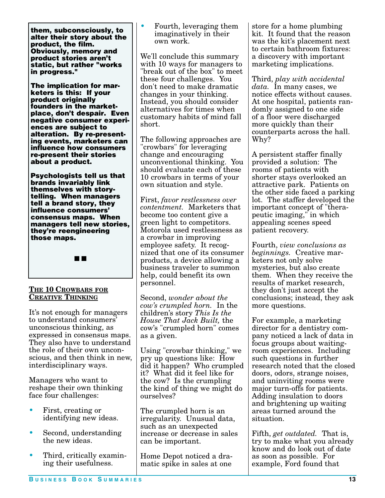**them, subconsciously, to alter their story about the product, the film. Obviously, memory and product stories aren't static, but rather "works in progress."**

**The implication for marketers is this: If your product originally founders in the marketplace, don't despair. Even negative consumer experiences are subject to alteration. By re-presenting events, marketers can influence how consumers re-present their stories about a product.**

**Psychologists tell us that brands invariably link themselves with storytelling. When managers tell a brand story, they influence consumers' consensus maps. When managers tell new stories, they're reengineering those maps.** 



#### **THE 10 CROWBARS FOR CREATIVE THINKING**

It's not enough for managers to understand consumers' unconscious thinking, as expressed in consensus maps. They also have to understand the role of their own unconscious, and then think in new, interdisciplinary ways.

Managers who want to reshape their own thinking face four challenges:

- First, creating or identifying new ideas.
- Second, understanding the new ideas.
- Third, critically examining their usefulness.

• Fourth, leveraging them imaginatively in their own work.

We'll conclude this summary with 10 ways for managers to "break out of the box" to meet these four challenges. You don't need to make dramatic changes in your thinking. Instead, you should consider alternatives for times when customary habits of mind fall short.

The following approaches are "crowbars" for leveraging change and encouraging unconventional thinking. You should evaluate each of these 10 crowbars in terms of your own situation and style.

First, *favor restlessness over contentment.* Marketers that become too content give a green light to competitors. Motorola used restlessness as a crowbar in improving employee safety. It recognized that one of its consumer products, a device allowing a business traveler to summon help, could benefit its own personnel.

Second, *wonder about the cow's crumpled horn.* In the children's story *This Is the House That Jack Built,* the cow's "crumpled horn" comes as a given.

Using "crowbar thinking," we pry up questions like: How did it happen? Who crumpled it? What did it feel like for the cow? Is the crumpling the kind of thing we might do ourselves?

The crumpled horn is an irregularity. Unusual data, such as an unexpected increase or decrease in sales can be important.

Home Depot noticed a dramatic spike in sales at one

store for a home plumbing kit. It found that the reason was the kit's placement next to certain bathroom fixtures: a discovery with important marketing implications.

Third, *play with accidental data.* In many cases, we notice effects without causes. At one hospital, patients randomly assigned to one side of a floor were discharged more quickly than their counterparts across the hall. Why?

A persistent staffer finally provided a solution: The rooms of patients with shorter stays overlooked an attractive park. Patients on the other side faced a parking lot. The staffer developed the important concept of "therapeutic imaging," in which appealing scenes speed patient recovery.

Fourth, *view conclusions as beginnings.* Creative marketers not only solve mysteries, but also create them. When they receive the results of market research, they don't just accept the conclusions; instead, they ask more questions.

For example, a marketing director for a dentistry company noticed a lack of data in focus groups about waitingroom experiences. Including such questions in further research noted that the closed doors, odors, strange noises, and uninviting rooms were major turn-offs for patients. Adding insulation to doors and brightening up waiting areas turned around the situation.

Fifth, *get outdated.* That is, try to make what you already know and do look out of date as soon as possible. For example, Ford found that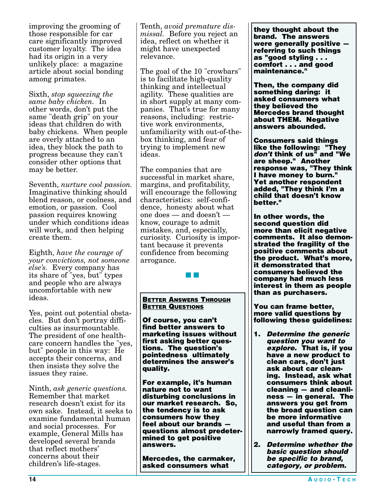improving the grooming of those responsible for car care significantly improved customer loyalty. The idea had its origin in a very unlikely place: a magazine article about social bonding among primates.

Sixth, *stop squeezing the same baby chicken.* In other words, don't put the same "death grip" on your ideas that children do with baby chickens. When people are overly attached to an idea, they block the path to progress because they can't consider other options that may be better.

Seventh, *nurture cool passion.* Imaginative thinking should blend reason, or coolness, and emotion, or passion. Cool passion requires knowing under which conditions ideas will work, and then helping create them.

Eighth, *have the courage of your convictions, not someone else's.* Every company has its share of "yes, but" types and people who are always uncomfortable with new ideas.

Yes, point out potential obstacles. But don't portray difficulties as insurmountable. The president of one healthcare concern handles the "yes, but" people in this way: He accepts their concerns, and then insists they solve the issues they raise.

Ninth, *ask generic questions.* Remember that market research doesn't exist for its own sake. Instead, it seeks to examine fundamental human and social processes. For example, General Mills has developed several brands that reflect mothers' concerns about their children's life-stages.

Tenth, *avoid premature dismissal.* Before you reject an idea, reflect on whether it might have unexpected relevance.

The goal of the 10 "crowbars" is to facilitate high-quality thinking and intellectual agility. These qualities are in short supply at many companies. That's true for many reasons, including: restrictive work environments, unfamiliarity with out-of-thebox thinking, and fear of trying to implement new ideas.

The companies that are successful in market share, margins, and profitability, will encourage the following characteristics: self-confidence, honesty about what one does — and doesn't know, courage to admit mistakes, and, especially, curiosity. Curiosity is important because it prevents confidence from becoming arrogance.

#### **BETTER ANSWERS THROUGH BETTER QUESTIONS**

■ ■

**Of course, you can't find better answers to marketing issues without first asking better questions. The question's pointedness ultimately determines the answer's quality.**

**For example, it's human nature not to want disturbing conclusions in our market research. So, the tendency is to ask consumers how they feel about our brands questions almost predetermined to get positive answers.**

**Mercedes, the carmaker, asked consumers what** 

**they thought about the brand. The answers were generally positive referring to such things as "good styling . . . comfort . . . and good maintenance."**

**Then, the company did something daring: it asked consumers what they believed the Mercedes brand thought about THEM. Negative answers abounded.**

**Consumers said things like the following: "They don't think of us" and "We are sheep." Another response was, "They think I have money to burn." Yet another respondent added, "They think I'm a child that doesn't know better."** 

**In other words, the second question did more than elicit negative comments. It also demonstrated the fragility of the positive comments about the product. What's more, it demonstrated that consumers believed the company had much less interest in them as people than as purchasers.** 

**You can frame better, more valid questions by following these guidelines:**

- **1. Determine the generic question you want to explore. That is, if you have a new product to clean cars, don't just ask about car cleaning. Instead, ask what consumers think about cleaning — and cleanliness — in general. The answers you get from the broad question can be more informative and useful than from a narrowly framed query.**
- **2. Determine whether the basic question should be specific to brand, category, or problem.**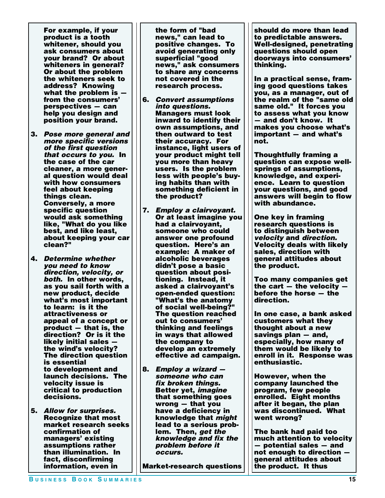**For example, if your product is a tooth whitener, should you ask consumers about your brand? Or about whiteners in general? Or about the problem the whiteners seek to address? Knowing what the problem is from the consumers' perspectives — can help you design and position your brand.**

- **3. Pose more general and more specific versions of the first question that occurs to you. In the case of the car cleaner, a more general question would deal with how consumers feel about keeping things clean. Conversely, a more specific question would ask something like, "What do you like best, and like least, about keeping your car clean?"**
- **4. Determine whether you need to know direction, velocity, or both. In other words, as you sail forth with a new product, decide what's most important to learn: is it the attractiveness or appeal of a concept or product — that is, the direction? Or is it the likely initial sales the wind's velocity? The direction question is essential to development and launch decisions. The velocity issue is critical to production decisions.**
- **5. Allow for surprises. Recognize that most market research seeks confirmation of managers' existing assumptions rather than illumination. In fact, disconfirming information, even in**

**the form of "bad news," can lead to positive changes. To avoid generating only superficial "good news," ask consumers to share any concerns not covered in the research process.**

- **6. Convert assumptions into questions. Managers must look inward to identify their own assumptions, and then outward to test their accuracy. For instance, light users of your product might tell you more than heavy users. Is the problem less with people's buying habits than with something deficient in the product?**
- **7. Employ a clairvoyant. Or at least imagine you had a clairvoyant, someone who could answer one profound question. Here's an example: A maker of alcoholic beverages didn't pose a basic question about positioning. Instead, it asked a clairvoyant's open-ended question: "What's the anatomy of social well-being?" The question reached out to consumers' thinking and feelings in ways that allowed the company to develop an extremely effective ad campaign.**
- **8. Employ a wizard someone who can fix broken things. Better yet, imagine that something goes wrong — that you have a deficiency in knowledge that might lead to a serious problem. Then, get the knowledge and fix the problem before it occurs.**

**Market-research questions** 

**should do more than lead to predictable answers. Well-designed, penetrating questions should open doorways into consumers' thinking.**

**In a practical sense, framing good questions takes you, as a manager, out of the realm of the "same old same old." It forces you to assess what you know — and don't know. It makes you choose what's important — and what's not.**

**Thoughtfully framing a question can expose wellsprings of assumptions, knowledge, and experience. Learn to question your questions, and good answers will begin to flow with abundance.**

**One key in framing research questions is to distinguish between velocity and direction. Velocity deals with likely sales, direction with general attitudes about the product.**

**Too many companies get the cart — the velocity before the horse — the direction.** 

**In one case, a bank asked customers what they thought about a new savings plan — and, especially, how many of them would be likely to enroll in it. Response was enthusiastic.**

**However, when the company launched the program, few people enrolled. Eight months after it began, the plan was discontinued. What went wrong?** 

**The bank had paid too much attention to velocity — potential sales — and not enough to direction general attitudes about the product. It thus**